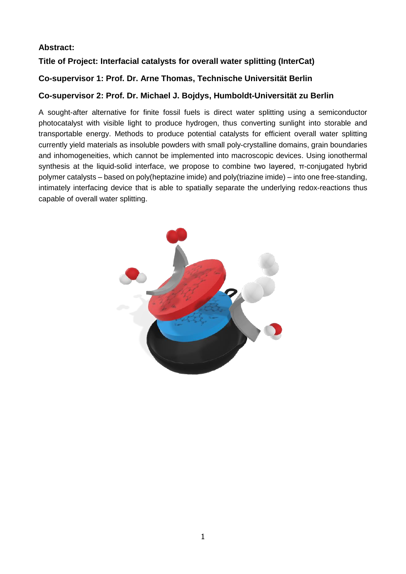# **Abstract:**

# **Title of Project: Interfacial catalysts for overall water splitting (InterCat)**

# **Co-supervisor 1: Prof. Dr. Arne Thomas, Technische Universität Berlin**

# **Co-supervisor 2: Prof. Dr. Michael J. Bojdys, Humboldt-Universität zu Berlin**

A sought-after alternative for finite fossil fuels is direct water splitting using a semiconductor photocatalyst with visible light to produce hydrogen, thus converting sunlight into storable and transportable energy. Methods to produce potential catalysts for efficient overall water splitting currently yield materials as insoluble powders with small poly-crystalline domains, grain boundaries and inhomogeneities, which cannot be implemented into macroscopic devices. Using ionothermal synthesis at the liquid-solid interface, we propose to combine two layered, π-conjugated hybrid polymer catalysts – based on poly(heptazine imide) and poly(triazine imide) – into one free-standing, intimately interfacing device that is able to spatially separate the underlying redox-reactions thus capable of overall water splitting.

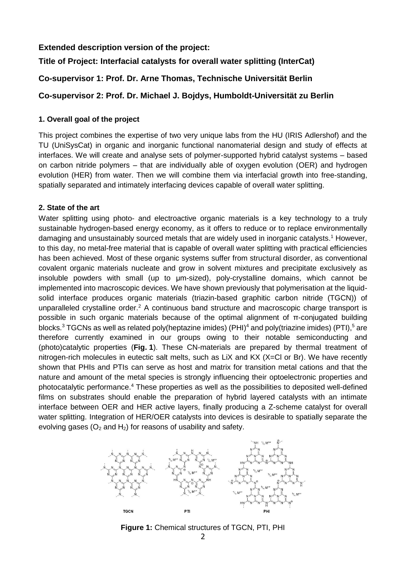### **Extended description version of the project:**

# **Title of Project: Interfacial catalysts for overall water splitting (InterCat)**

### **Co-supervisor 1: Prof. Dr. Arne Thomas, Technische Universität Berlin**

### **Co-supervisor 2: Prof. Dr. Michael J. Bojdys, Humboldt-Universität zu Berlin**

### **1. Overall goal of the project**

This project combines the expertise of two very unique labs from the HU (IRIS Adlershof) and the TU (UniSysCat) in organic and inorganic functional nanomaterial design and study of effects at interfaces. We will create and analyse sets of polymer-supported hybrid catalyst systems – based on carbon nitride polymers – that are individually able of oxygen evolution (OER) and hydrogen evolution (HER) from water. Then we will combine them via interfacial growth into free-standing, spatially separated and intimately interfacing devices capable of overall water splitting.

#### **2. State of the art**

Water splitting using photo- and electroactive organic materials is a key technology to a truly sustainable hydrogen-based energy economy, as it offers to reduce or to replace environmentally damaging and unsustainably sourced metals that are widely used in inorganic catalysts. <sup>1</sup> However, to this day, no metal-free material that is capable of overall water splitting with practical efficiencies has been achieved. Most of these organic systems suffer from structural disorder, as conventional covalent organic materials nucleate and grow in solvent mixtures and precipitate exclusively as insoluble powders with small (up to μm-sized), poly-crystalline domains, which cannot be implemented into macroscopic devices. We have shown previously that polymerisation at the liquidsolid interface produces organic materials (triazin-based graphitic carbon nitride (TGCN)) of unparalleled crystalline order.<sup>2</sup> A continuous band structure and macroscopic charge transport is possible in such organic materials because of the optimal alignment of π-conjugated building blocks.<sup>3</sup> TGCNs as well as related poly(heptazine imides) (PHI)<sup>4</sup> and poly(triazine imides) (PTI),<sup>5</sup> are therefore currently examined in our groups owing to their notable semiconducting and (photo)catalytic properties (**Fig. 1**). These CN-materials are prepared by thermal treatment of nitrogen-rich molecules in eutectic salt melts, such as LiX and KX (X=Cl or Br). We have recently shown that PHIs and PTIs can serve as host and matrix for transition metal cations and that the nature and amount of the metal species is strongly influencing their optoelectronic properties and photocatalytic performance. <sup>4</sup> These properties as well as the possibilities to deposited well-defined films on substrates should enable the preparation of hybrid layered catalysts with an intimate interface between OER and HER active layers, finally producing a Z-scheme catalyst for overall water splitting. Integration of HER/OER catalysts into devices is desirable to spatially separate the evolving gases  $(O_2 \text{ and } H_2)$  for reasons of usability and safety.



**Figure 1:** Chemical structures of TGCN, PTI, PHI